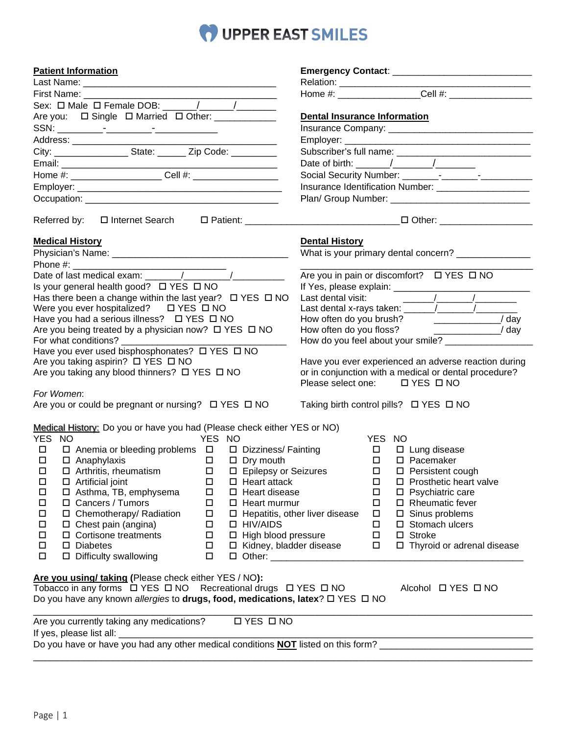## O UPPER EAST SMILES

| <b>Patient Information</b>                                                                                                                                                                                                     |                                                                                                                                                                                                                                                                                                               |
|--------------------------------------------------------------------------------------------------------------------------------------------------------------------------------------------------------------------------------|---------------------------------------------------------------------------------------------------------------------------------------------------------------------------------------------------------------------------------------------------------------------------------------------------------------|
|                                                                                                                                                                                                                                |                                                                                                                                                                                                                                                                                                               |
|                                                                                                                                                                                                                                |                                                                                                                                                                                                                                                                                                               |
|                                                                                                                                                                                                                                |                                                                                                                                                                                                                                                                                                               |
| Are you: □ Single □ Married □ Other: ___________                                                                                                                                                                               | <b>Dental Insurance Information</b>                                                                                                                                                                                                                                                                           |
|                                                                                                                                                                                                                                |                                                                                                                                                                                                                                                                                                               |
|                                                                                                                                                                                                                                |                                                                                                                                                                                                                                                                                                               |
| City: State: Zip Code:                                                                                                                                                                                                         |                                                                                                                                                                                                                                                                                                               |
|                                                                                                                                                                                                                                | Date of birth: $\frac{1}{\sqrt{1-\frac{1}{2}}}\left[\frac{1}{\sqrt{1-\frac{1}{2}}}\right]$                                                                                                                                                                                                                    |
|                                                                                                                                                                                                                                |                                                                                                                                                                                                                                                                                                               |
|                                                                                                                                                                                                                                | Insurance Identification Number: ______________________                                                                                                                                                                                                                                                       |
|                                                                                                                                                                                                                                |                                                                                                                                                                                                                                                                                                               |
| Referred by:  ロ Internet Search  ロ Patient:  L Patient:  L Patient:  L Patient:  L Patient:  L Patient:  L Patient:  L Patient:  L Patient:  L Patient:  L Patient:  L Patient:  L Patient:  L Patient:  L Patient:  L Patient |                                                                                                                                                                                                                                                                                                               |
| <b>Medical History</b>                                                                                                                                                                                                         | <b>Dental History</b>                                                                                                                                                                                                                                                                                         |
|                                                                                                                                                                                                                                | What is your primary dental concern?                                                                                                                                                                                                                                                                          |
|                                                                                                                                                                                                                                |                                                                                                                                                                                                                                                                                                               |
|                                                                                                                                                                                                                                | Are you in pain or discomfort? □ YES □ NO                                                                                                                                                                                                                                                                     |
| Is your general health good? □ YES □ NO                                                                                                                                                                                        |                                                                                                                                                                                                                                                                                                               |
| Has there been a change within the last year? $\Box$ YES $\Box$ NO                                                                                                                                                             |                                                                                                                                                                                                                                                                                                               |
| Were you ever hospitalized? $\Box$ YES $\Box$ NO                                                                                                                                                                               | Last dental x-rays taken: $\frac{1}{2}$ $\frac{1}{2}$ $\frac{1}{2}$ $\frac{1}{2}$ $\frac{1}{2}$ $\frac{1}{2}$ $\frac{1}{2}$ $\frac{1}{2}$ $\frac{1}{2}$ $\frac{1}{2}$ $\frac{1}{2}$ $\frac{1}{2}$ $\frac{1}{2}$ $\frac{1}{2}$ $\frac{1}{2}$ $\frac{1}{2}$ $\frac{1}{2}$ $\frac{1}{2}$ $\frac{1}{2}$ $\frac{1$ |
| Have you had a serious illness? $\Box$ YES $\Box$ NO                                                                                                                                                                           | How often do you brush? ________________/ day                                                                                                                                                                                                                                                                 |
| Are you being treated by a physician now? □ YES □ NO                                                                                                                                                                           | How often do you floss? ______________________/ day<br>How do you feel about your smile? _________________                                                                                                                                                                                                    |
|                                                                                                                                                                                                                                |                                                                                                                                                                                                                                                                                                               |
| Are you taking aspirin? □ YES □ NO                                                                                                                                                                                             | Have you ever experienced an adverse reaction during                                                                                                                                                                                                                                                          |
| Are you taking any blood thinners? □ YES □ NO                                                                                                                                                                                  | or in conjunction with a medical or dental procedure?                                                                                                                                                                                                                                                         |
|                                                                                                                                                                                                                                | Please select one: □ YES □ NO                                                                                                                                                                                                                                                                                 |
| For Women:                                                                                                                                                                                                                     |                                                                                                                                                                                                                                                                                                               |
| Are you or could be pregnant or nursing? □ YES □ NO                                                                                                                                                                            | Taking birth control pills? □ YES □ NO                                                                                                                                                                                                                                                                        |
| Medical History: Do you or have you had (Please check either YES or NO)                                                                                                                                                        |                                                                                                                                                                                                                                                                                                               |
| YES NO<br>YES NO                                                                                                                                                                                                               | YES NO                                                                                                                                                                                                                                                                                                        |
| $\Box$ Anemia or bleeding problems $\Box$ $\Box$ Dizziness/ Fainting<br>$\Box$                                                                                                                                                 | $\Box$<br>$\square$ Lung disease                                                                                                                                                                                                                                                                              |
| $\Box$<br>$\Box$ $\Box$ Dry mouth                                                                                                                                                                                              | $\Box$<br>$\square$ Pacemaker                                                                                                                                                                                                                                                                                 |
| □ Anaphylaxis<br>□ Arthritis, rheumatism<br>$\Box$<br>$\Box$<br>□ Epilepsy or Seizures                                                                                                                                         | $\Box$<br>□ Persistent cough                                                                                                                                                                                                                                                                                  |
| $\Box$ Artificial joint<br>$\Box$ Heart attack<br>□<br>□                                                                                                                                                                       | $\square$ Prosthetic heart valve<br>□                                                                                                                                                                                                                                                                         |
| □ Asthma, TB, emphysema<br>$\Box$ Heart disease<br>$\Box$<br>□                                                                                                                                                                 | $\Box$<br>$\square$ Psychiatric care                                                                                                                                                                                                                                                                          |
| □ Cancers / Tumors<br>$\Box$<br>□<br>$\Box$ Heart murmur                                                                                                                                                                       | $\Box$ Rheumatic fever<br>$\Box$                                                                                                                                                                                                                                                                              |
| $\Box$<br>□ Chemotherapy/ Radiation<br>$\Box$<br>$\Box$ Hepatitis, other liver disease                                                                                                                                         | $\square$ Sinus problems<br>Π.                                                                                                                                                                                                                                                                                |
| $\Box$<br>$\Box$ Chest pain (angina)<br>$\Box$ HIV/AIDS<br>$\Box$<br>$\Box$<br>$\Box$ Cortisone treatments                                                                                                                     | □ Stomach ulcers<br>$\Box$<br>$\square$ Stroke                                                                                                                                                                                                                                                                |
| $\Box$ High blood pressure<br>$\Box$<br>$\Box$<br>$\square$ Diabetes<br>$\Box$                                                                                                                                                 | $\Box$<br>□ Kidney, bladder disease<br>□ Thyroid or adrenal disease<br>$\Box$                                                                                                                                                                                                                                 |
| $\Box$ Difficulty swallowing<br>$\Box$<br>$\Box$                                                                                                                                                                               |                                                                                                                                                                                                                                                                                                               |
|                                                                                                                                                                                                                                |                                                                                                                                                                                                                                                                                                               |
| Are you using/ taking (Please check either YES / NO):                                                                                                                                                                          |                                                                                                                                                                                                                                                                                                               |
| Tobacco in any forms $\Box$ YES $\Box$ NO Recreational drugs $\Box$ YES $\Box$ NO                                                                                                                                              | Alcohol □ YES □ NO                                                                                                                                                                                                                                                                                            |
| Do you have any known allergies to drugs, food, medications, latex? □ YES □ NO                                                                                                                                                 |                                                                                                                                                                                                                                                                                                               |
| Are you currently taking any medications?<br><b>□ YES □ NO</b>                                                                                                                                                                 |                                                                                                                                                                                                                                                                                                               |
| Do you have or have you had any other medical conditions NOT listed on this form?                                                                                                                                              |                                                                                                                                                                                                                                                                                                               |
|                                                                                                                                                                                                                                |                                                                                                                                                                                                                                                                                                               |
|                                                                                                                                                                                                                                |                                                                                                                                                                                                                                                                                                               |